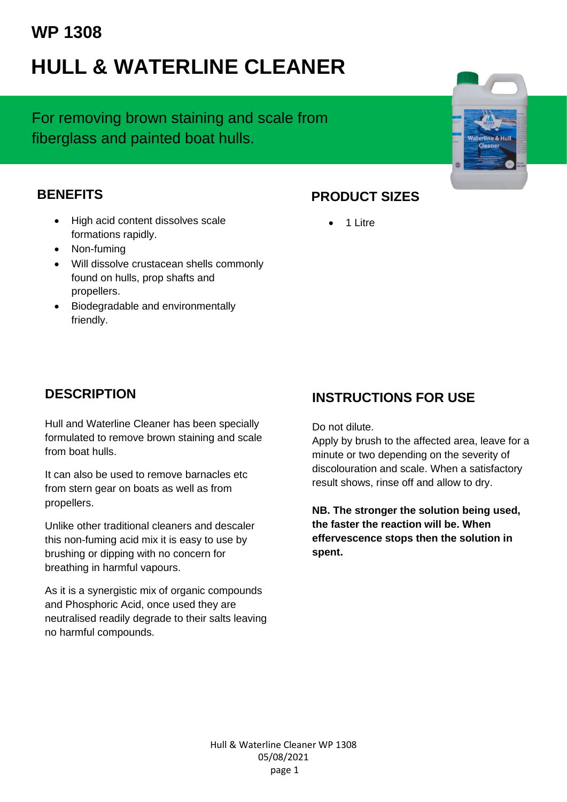# **WP 1308**

# **HULL & WATERLINE CLEANER**

For removing brown staining and scale from fiberglass and painted boat hulls.

#### **BENEFITS**

- High acid content dissolves scale formations rapidly.
- Non-fuming
- Will dissolve crustacean shells commonly found on hulls, prop shafts and propellers.
- Biodegradable and environmentally friendly.

### **PRODUCT SIZES**

• 1 Litre

## **DESCRIPTION**

Hull and Waterline Cleaner has been specially formulated to remove brown staining and scale from boat hulls.

It can also be used to remove barnacles etc from stern gear on boats as well as from propellers.

Unlike other traditional cleaners and descaler this non-fuming acid mix it is easy to use by brushing or dipping with no concern for breathing in harmful vapours.

As it is a synergistic mix of organic compounds and Phosphoric Acid, once used they are neutralised readily degrade to their salts leaving no harmful compounds.

# **INSTRUCTIONS FOR USE**

Do not dilute.

Apply by brush to the affected area, leave for a minute or two depending on the severity of discolouration and scale. When a satisfactory result shows, rinse off and allow to dry.

**NB. The stronger the solution being used, the faster the reaction will be. When effervescence stops then the solution in spent.**